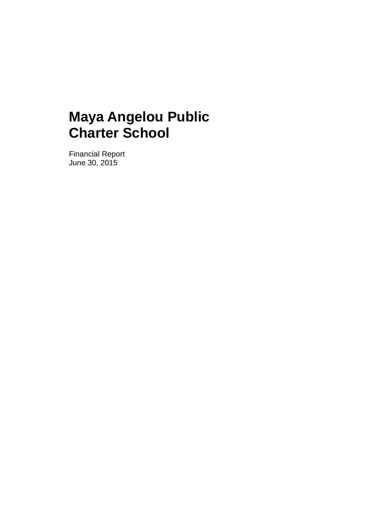Financial Report June 30, 2015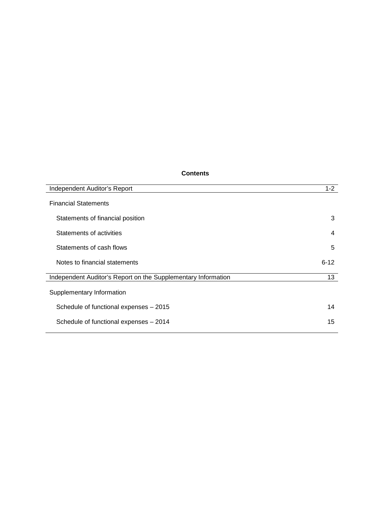#### **Contents**

| Independent Auditor's Report                                  | $1 - 2$  |
|---------------------------------------------------------------|----------|
| <b>Financial Statements</b>                                   |          |
| Statements of financial position                              | 3        |
| Statements of activities                                      | 4        |
| Statements of cash flows                                      | 5        |
| Notes to financial statements                                 | $6 - 12$ |
| Independent Auditor's Report on the Supplementary Information | 13       |
| Supplementary Information                                     |          |
| Schedule of functional expenses - 2015                        | 14       |
| Schedule of functional expenses - 2014                        | 15       |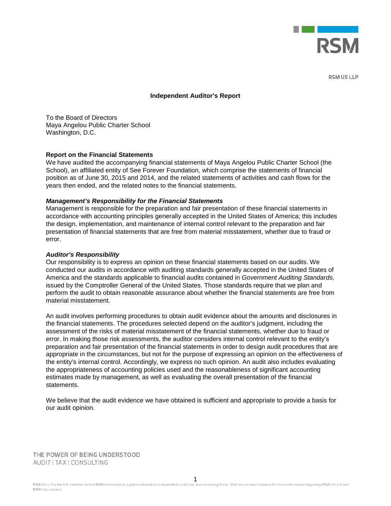

**DSMIISIID** 

#### **Independent Auditor's Report**

To the Board of Directors Maya Angelou Public Charter School Washington, D.C.

#### **Report on the Financial Statements**

We have audited the accompanying financial statements of Maya Angelou Public Charter School (the School), an affiliated entity of See Forever Foundation, which comprise the statements of financial position as of June 30, 2015 and 2014, and the related statements of activities and cash flows for the years then ended, and the related notes to the financial statements.

#### *Management's Responsibility for the Financial Statements*

Management is responsible for the preparation and fair presentation of these financial statements in accordance with accounting principles generally accepted in the United States of America; this includes the design, implementation, and maintenance of internal control relevant to the preparation and fair presentation of financial statements that are free from material misstatement, whether due to fraud or error.

#### *Auditor's Responsibility*

Our responsibility is to express an opinion on these financial statements based on our audits. We conducted our audits in accordance with auditing standards generally accepted in the United States of America and the standards applicable to financial audits contained in *Government Auditing Standards,*  issued by the Comptroller General of the United States. Those standards require that we plan and perform the audit to obtain reasonable assurance about whether the financial statements are free from material misstatement.

An audit involves performing procedures to obtain audit evidence about the amounts and disclosures in the financial statements. The procedures selected depend on the auditor's judgment, including the assessment of the risks of material misstatement of the financial statements, whether due to fraud or error. In making those risk assessments, the auditor considers internal control relevant to the entity's preparation and fair presentation of the financial statements in order to design audit procedures that are appropriate in the circumstances, but not for the purpose of expressing an opinion on the effectiveness of the entity's internal control. Accordingly, we express no such opinion. An audit also includes evaluating the appropriateness of accounting policies used and the reasonableness of significant accounting estimates made by management, as well as evaluating the overall presentation of the financial statements.

We believe that the audit evidence we have obtained is sufficient and appropriate to provide a basis for our audit opinion.

THE POWER OF BEING UNDERSTOOD AUDIT | TAX | CONSULTING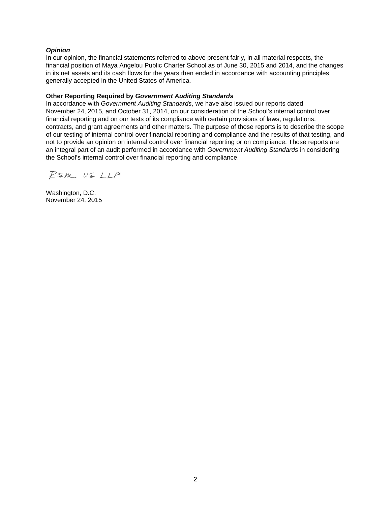#### *Opinion*

In our opinion, the financial statements referred to above present fairly, in all material respects, the financial position of Maya Angelou Public Charter School as of June 30, 2015 and 2014, and the changes in its net assets and its cash flows for the years then ended in accordance with accounting principles generally accepted in the United States of America.

#### **Other Reporting Required by** *Government Auditing Standards*

In accordance with *Government Auditing Standards*, we have also issued our reports dated November 24, 2015, and October 31, 2014, on our consideration of the School's internal control over financial reporting and on our tests of its compliance with certain provisions of laws, regulations, contracts, and grant agreements and other matters. The purpose of those reports is to describe the scope of our testing of internal control over financial reporting and compliance and the results of that testing, and not to provide an opinion on internal control over financial reporting or on compliance. Those reports are an integral part of an audit performed in accordance with *Government Auditing Standards* in considering the School's internal control over financial reporting and compliance.

RSM US LLP

Washington, D.C. November 24, 2015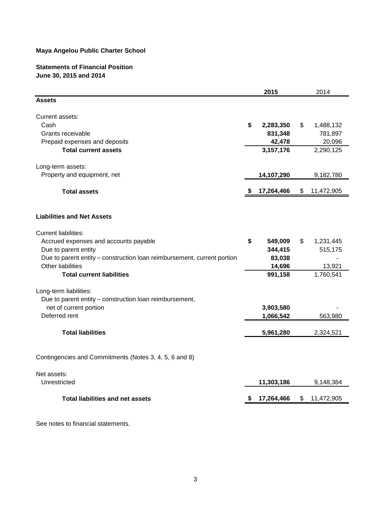#### **Statements of Financial Position June 30, 2015 and 2014**

|                                                                         | 2015            | 2014             |
|-------------------------------------------------------------------------|-----------------|------------------|
| <b>Assets</b>                                                           |                 |                  |
| Current assets:                                                         |                 |                  |
| Cash                                                                    | \$<br>2,283,350 | \$<br>1,488,132  |
| Grants receivable                                                       | 831,348         | 781,897          |
| Prepaid expenses and deposits                                           | 42,478          | 20,096           |
| <b>Total current assets</b>                                             | 3,157,176       | 2,290,125        |
| Long-term assets:                                                       |                 |                  |
| Property and equipment, net                                             | 14,107,290      | 9,182,780        |
| <b>Total assets</b>                                                     | 17,264,466      | \$<br>11,472,905 |
| <b>Liabilities and Net Assets</b>                                       |                 |                  |
| <b>Current liabilities:</b>                                             |                 |                  |
| Accrued expenses and accounts payable                                   | \$<br>549,009   | \$<br>1,231,445  |
| Due to parent entity                                                    | 344,415         | 515,175          |
| Due to parent entity - construction loan reimbursement, current portion | 83,038          |                  |
| Other liabilities                                                       | 14,696          | 13,921           |
| <b>Total current liabilities</b>                                        | 991,158         | 1,760,541        |
| Long-term liabilities:                                                  |                 |                  |
| Due to parent entity - construction loan reimbursement,                 |                 |                  |
| net of current portion                                                  | 3,903,580       |                  |
| Deferred rent                                                           | 1,066,542       | 563,980          |
| <b>Total liabilities</b>                                                | 5,961,280       | 2,324,521        |
|                                                                         |                 |                  |
| Contingencies and Commitments (Notes 3, 4, 5, 6 and 8)                  |                 |                  |
| Net assets:                                                             |                 |                  |
| Unrestricted                                                            | 11,303,186      | 9,148,384        |
| <b>Total liabilities and net assets</b>                                 | 17,264,466      | \$<br>11,472,905 |

See notes to financial statements.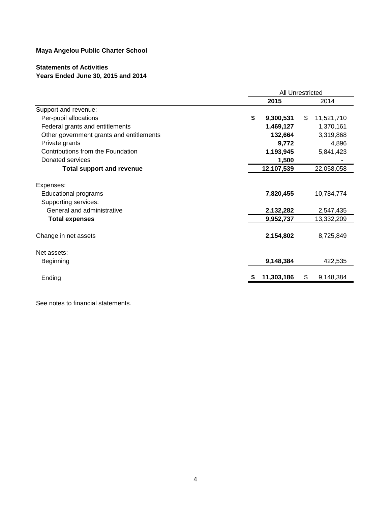# **Statements of Activities**

# **Years Ended June 30, 2015 and 2014**

|                                                                                                                         | <b>All Unrestricted</b> |                                     |     |                                       |
|-------------------------------------------------------------------------------------------------------------------------|-------------------------|-------------------------------------|-----|---------------------------------------|
|                                                                                                                         |                         | 2015                                |     | 2014                                  |
| Support and revenue:                                                                                                    |                         |                                     |     |                                       |
| Per-pupil allocations                                                                                                   | \$                      | 9,300,531                           | \$. | 11,521,710                            |
| Federal grants and entitlements                                                                                         |                         | 1,469,127                           |     | 1,370,161                             |
| Other government grants and entitlements                                                                                |                         | 132,664                             |     | 3,319,868                             |
| Private grants                                                                                                          |                         | 9,772                               |     | 4,896                                 |
| Contributions from the Foundation                                                                                       |                         | 1,193,945                           |     | 5,841,423                             |
| Donated services                                                                                                        |                         | 1,500                               |     |                                       |
| <b>Total support and revenue</b>                                                                                        |                         | 12,107,539                          |     | 22,058,058                            |
| Expenses:<br><b>Educational programs</b><br>Supporting services:<br>General and administrative<br><b>Total expenses</b> |                         | 7,820,455<br>2,132,282<br>9,952,737 |     | 10,784,774<br>2,547,435<br>13,332,209 |
| Change in net assets                                                                                                    |                         | 2,154,802                           |     | 8,725,849                             |
| Net assets:                                                                                                             |                         |                                     |     |                                       |
| Beginning                                                                                                               |                         | 9,148,384                           |     | 422,535                               |
| Ending                                                                                                                  |                         | 11,303,186                          | \$  | 9,148,384                             |

See notes to financial statements.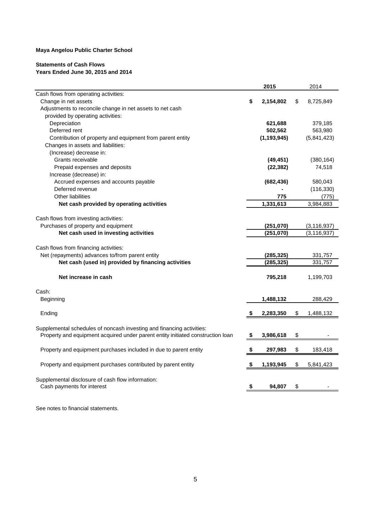#### **Statements of Cash Flows Years Ended June 30, 2015 and 2014**

|                                                                                 |    | 2015          | 2014            |
|---------------------------------------------------------------------------------|----|---------------|-----------------|
| Cash flows from operating activities:                                           |    |               |                 |
| Change in net assets                                                            | \$ | 2,154,802     | \$<br>8,725,849 |
| Adjustments to reconcile change in net assets to net cash                       |    |               |                 |
| provided by operating activities:                                               |    |               |                 |
| Depreciation                                                                    |    | 621,688       | 379,185         |
| Deferred rent                                                                   |    | 502,562       | 563,980         |
| Contribution of property and equipment from parent entity                       |    | (1, 193, 945) | (5,841,423)     |
| Changes in assets and liabilities:                                              |    |               |                 |
| (Increase) decrease in:                                                         |    |               |                 |
| Grants receivable                                                               |    | (49, 451)     | (380, 164)      |
| Prepaid expenses and deposits                                                   |    | (22, 382)     | 74,518          |
| Increase (decrease) in:                                                         |    |               |                 |
| Accrued expenses and accounts payable                                           |    | (682, 436)    | 580,043         |
| Deferred revenue                                                                |    |               | (116, 330)      |
| <b>Other liabilities</b>                                                        |    | 775           | (775)           |
| Net cash provided by operating activities                                       |    | 1,331,613     | 3,984,883       |
|                                                                                 |    |               |                 |
| Cash flows from investing activities:                                           |    |               |                 |
| Purchases of property and equipment                                             |    | (251,070)     | (3, 116, 937)   |
| Net cash used in investing activities                                           |    | (251,070)     | (3, 116, 937)   |
| Cash flows from financing activities:                                           |    |               |                 |
| Net (repayments) advances to/from parent entity                                 |    | (285,325)     | 331,757         |
| Net cash (used in) provided by financing activities                             |    | (285,325)     | 331,757         |
|                                                                                 |    |               |                 |
| Net increase in cash                                                            |    | 795,218       | 1,199,703       |
| Cash:                                                                           |    |               |                 |
| Beginning                                                                       |    | 1,488,132     | 288,429         |
| Ending                                                                          | \$ | 2,283,350     | \$<br>1,488,132 |
|                                                                                 |    |               |                 |
| Supplemental schedules of noncash investing and financing activities:           |    |               |                 |
| Property and equipment acquired under parent entity initiated construction loan | S  | 3,986,618     | \$              |
| Property and equipment purchases included in due to parent entity               | S  | 297,983       | \$<br>183,418   |
| Property and equipment purchases contributed by parent entity                   | \$ | 1,193,945     | \$<br>5,841,423 |
| Supplemental disclosure of cash flow information:                               |    |               |                 |
| Cash payments for interest                                                      | \$ | 94,807        | \$              |
|                                                                                 |    |               |                 |

See notes to financial statements.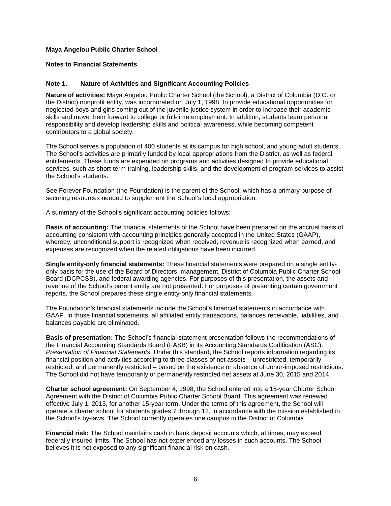#### **Notes to Financial Statements**

#### **Note 1. Nature of Activities and Significant Accounting Policies**

**Nature of activities:** Maya Angelou Public Charter School (the School), a District of Columbia (D.C. or the District) nonprofit entity, was incorporated on July 1, 1998, to provide educational opportunities for neglected boys and girls coming out of the juvenile justice system in order to increase their academic skills and move them forward to college or full-time employment. In addition, students learn personal responsibility and develop leadership skills and political awareness, while becoming competent contributors to a global society.

The School serves a population of 400 students at its campus for high school, and young adult students. The School's activities are primarily funded by local appropriations from the District, as well as federal entitlements. These funds are expended on programs and activities designed to provide educational services, such as short-term training, leadership skills, and the development of program services to assist the School's students.

See Forever Foundation (the Foundation) is the parent of the School, which has a primary purpose of securing resources needed to supplement the School's local appropriation.

A summary of the School's significant accounting policies follows:

**Basis of accounting:** The financial statements of the School have been prepared on the accrual basis of accounting consistent with accounting principles generally accepted in the United States (GAAP), whereby, unconditional support is recognized when received, revenue is recognized when earned, and expenses are recognized when the related obligations have been incurred.

**Single entity-only financial statements:** These financial statements were prepared on a single entityonly basis for the use of the Board of Directors, management, District of Columbia Public Charter School Board (DCPCSB), and federal awarding agencies. For purposes of this presentation, the assets and revenue of the School's parent entity are not presented. For purposes of presenting certain government reports, the School prepares these single entity-only financial statements.

The Foundation's financial statements include the School's financial statements in accordance with GAAP. In those financial statements, all affiliated entity transactions, balances receivable, liabilities, and balances payable are eliminated.

**Basis of presentation:** The School's financial statement presentation follows the recommendations of the Financial Accounting Standards Board (FASB) in its Accounting Standards Codification (ASC), *Presentation of Financial Statements*. Under this standard, the School reports information regarding its financial position and activities according to three classes of net assets – unrestricted, temporarily restricted, and permanently restricted – based on the existence or absence of donor-imposed restrictions. The School did not have temporarily or permanently restricted net assets at June 30, 2015 and 2014.

**Charter school agreement:** On September 4, 1998, the School entered into a 15-year Charter School Agreement with the District of Columbia Public Charter School Board. This agreement was renewed effective July 1, 2013, for another 15-year term. Under the terms of this agreement, the School will operate a charter school for students grades 7 through 12, in accordance with the mission established in the School's by-laws. The School currently operates one campus in the District of Columbia.

**Financial risk:** The School maintains cash in bank deposit accounts which, at times, may exceed federally insured limits. The School has not experienced any losses in such accounts. The School believes it is not exposed to any significant financial risk on cash.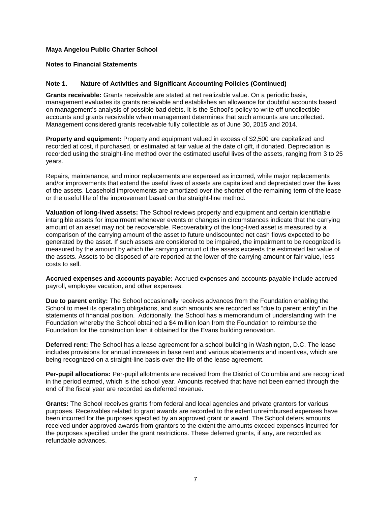#### **Notes to Financial Statements**

#### **Note 1. Nature of Activities and Significant Accounting Policies (Continued)**

**Grants receivable:** Grants receivable are stated at net realizable value. On a periodic basis, management evaluates its grants receivable and establishes an allowance for doubtful accounts based on management's analysis of possible bad debts. It is the School's policy to write off uncollectible accounts and grants receivable when management determines that such amounts are uncollected. Management considered grants receivable fully collectible as of June 30, 2015 and 2014.

**Property and equipment:** Property and equipment valued in excess of \$2,500 are capitalized and recorded at cost, if purchased, or estimated at fair value at the date of gift, if donated. Depreciation is recorded using the straight-line method over the estimated useful lives of the assets, ranging from 3 to 25 years.

Repairs, maintenance, and minor replacements are expensed as incurred, while major replacements and/or improvements that extend the useful lives of assets are capitalized and depreciated over the lives of the assets. Leasehold improvements are amortized over the shorter of the remaining term of the lease or the useful life of the improvement based on the straight-line method.

**Valuation of long-lived assets:** The School reviews property and equipment and certain identifiable intangible assets for impairment whenever events or changes in circumstances indicate that the carrying amount of an asset may not be recoverable. Recoverability of the long-lived asset is measured by a comparison of the carrying amount of the asset to future undiscounted net cash flows expected to be generated by the asset. If such assets are considered to be impaired, the impairment to be recognized is measured by the amount by which the carrying amount of the assets exceeds the estimated fair value of the assets. Assets to be disposed of are reported at the lower of the carrying amount or fair value, less costs to sell.

**Accrued expenses and accounts payable:** Accrued expenses and accounts payable include accrued payroll, employee vacation, and other expenses.

**Due to parent entity:** The School occasionally receives advances from the Foundation enabling the School to meet its operating obligations, and such amounts are recorded as "due to parent entity" in the statements of financial position. Additionally, the School has a memorandum of understanding with the Foundation whereby the School obtained a \$4 million loan from the Foundation to reimburse the Foundation for the construction loan it obtained for the Evans building renovation.

**Deferred rent:** The School has a lease agreement for a school building in Washington, D.C. The lease includes provisions for annual increases in base rent and various abatements and incentives, which are being recognized on a straight-line basis over the life of the lease agreement.

**Per-pupil allocations:** Per-pupil allotments are received from the District of Columbia and are recognized in the period earned, which is the school year. Amounts received that have not been earned through the end of the fiscal year are recorded as deferred revenue.

**Grants:** The School receives grants from federal and local agencies and private grantors for various purposes. Receivables related to grant awards are recorded to the extent unreimbursed expenses have been incurred for the purposes specified by an approved grant or award. The School defers amounts received under approved awards from grantors to the extent the amounts exceed expenses incurred for the purposes specified under the grant restrictions. These deferred grants, if any, are recorded as refundable advances.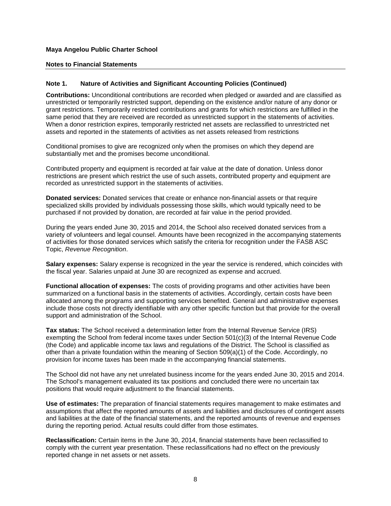#### **Notes to Financial Statements**

#### **Note 1. Nature of Activities and Significant Accounting Policies (Continued)**

**Contributions:** Unconditional contributions are recorded when pledged or awarded and are classified as unrestricted or temporarily restricted support, depending on the existence and/or nature of any donor or grant restrictions. Temporarily restricted contributions and grants for which restrictions are fulfilled in the same period that they are received are recorded as unrestricted support in the statements of activities. When a donor restriction expires, temporarily restricted net assets are reclassified to unrestricted net assets and reported in the statements of activities as net assets released from restrictions

Conditional promises to give are recognized only when the promises on which they depend are substantially met and the promises become unconditional.

Contributed property and equipment is recorded at fair value at the date of donation. Unless donor restrictions are present which restrict the use of such assets, contributed property and equipment are recorded as unrestricted support in the statements of activities.

**Donated services:** Donated services that create or enhance non-financial assets or that require specialized skills provided by individuals possessing those skills, which would typically need to be purchased if not provided by donation, are recorded at fair value in the period provided.

During the years ended June 30, 2015 and 2014, the School also received donated services from a variety of volunteers and legal counsel. Amounts have been recognized in the accompanying statements of activities for those donated services which satisfy the criteria for recognition under the FASB ASC Topic, *Revenue Recognition*.

**Salary expenses:** Salary expense is recognized in the year the service is rendered, which coincides with the fiscal year. Salaries unpaid at June 30 are recognized as expense and accrued.

**Functional allocation of expenses:** The costs of providing programs and other activities have been summarized on a functional basis in the statements of activities. Accordingly, certain costs have been allocated among the programs and supporting services benefited. General and administrative expenses include those costs not directly identifiable with any other specific function but that provide for the overall support and administration of the School.

**Tax status:** The School received a determination letter from the Internal Revenue Service (IRS) exempting the School from federal income taxes under Section 501(c)(3) of the Internal Revenue Code (the Code) and applicable income tax laws and regulations of the District. The School is classified as other than a private foundation within the meaning of Section 509(a)(1) of the Code. Accordingly, no provision for income taxes has been made in the accompanying financial statements.

The School did not have any net unrelated business income for the years ended June 30, 2015 and 2014. The School's management evaluated its tax positions and concluded there were no uncertain tax positions that would require adjustment to the financial statements.

**Use of estimates:** The preparation of financial statements requires management to make estimates and assumptions that affect the reported amounts of assets and liabilities and disclosures of contingent assets and liabilities at the date of the financial statements, and the reported amounts of revenue and expenses during the reporting period. Actual results could differ from those estimates.

**Reclassification:** Certain items in the June 30, 2014, financial statements have been reclassified to comply with the current year presentation. These reclassifications had no effect on the previously reported change in net assets or net assets.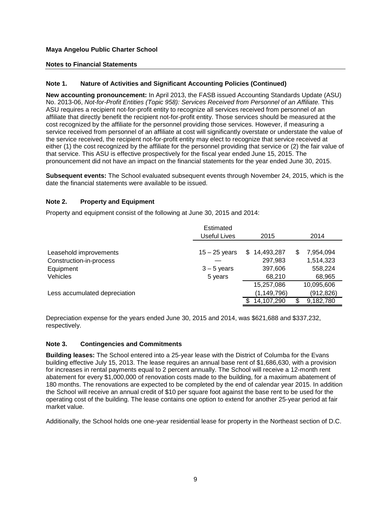#### **Notes to Financial Statements**

#### **Note 1. Nature of Activities and Significant Accounting Policies (Continued)**

**New accounting pronouncement:** In April 2013, the FASB issued Accounting Standards Update (ASU) No. 2013-06, *Not-for-Profit Entities (Topic 958): Services Received from Personnel of an Affiliate.* This ASU requires a recipient not-for-profit entity to recognize all services received from personnel of an affiliate that directly benefit the recipient not-for-profit entity. Those services should be measured at the cost recognized by the affiliate for the personnel providing those services. However, if measuring a service received from personnel of an affiliate at cost will significantly overstate or understate the value of the service received, the recipient not-for-profit entity may elect to recognize that service received at either (1) the cost recognized by the affiliate for the personnel providing that service or (2) the fair value of that service. This ASU is effective prospectively for the fiscal year ended June 15, 2015. The pronouncement did not have an impact on the financial statements for the year ended June 30, 2015.

**Subsequent events:** The School evaluated subsequent events through November 24, 2015, which is the date the financial statements were available to be issued.

#### **Note 2. Property and Equipment**

Property and equipment consist of the following at June 30, 2015 and 2014:

|                                      | Estimated<br>Useful Lives | 2015               |                      |  |  |  |
|--------------------------------------|---------------------------|--------------------|----------------------|--|--|--|
| Leasehold improvements               | $15 - 25$ years           | 14,493,287<br>\$.  | 7,954,094<br>Ж,      |  |  |  |
| Construction-in-process<br>Equipment | $3 - 5$ years             | 297,983<br>397,606 | 1,514,323<br>558,224 |  |  |  |
| <b>Vehicles</b>                      | 5 years                   | 68,210             | 68,965               |  |  |  |
|                                      |                           | 15,257,086         | 10,095,606           |  |  |  |
| Less accumulated depreciation        |                           | (1, 149, 796)      | (912, 826)           |  |  |  |
|                                      |                           | 14,107,290         | 9,182,780            |  |  |  |

Depreciation expense for the years ended June 30, 2015 and 2014, was \$621,688 and \$337,232, respectively.

#### **Note 3. Contingencies and Commitments**

**Building leases:** The School entered into a 25-year lease with the District of Columba for the Evans building effective July 15, 2013. The lease requires an annual base rent of \$1,686,630, with a provision for increases in rental payments equal to 2 percent annually. The School will receive a 12-month rent abatement for every \$1,000,000 of renovation costs made to the building, for a maximum abatement of 180 months. The renovations are expected to be completed by the end of calendar year 2015. In addition the School will receive an annual credit of \$10 per square foot against the base rent to be used for the operating cost of the building. The lease contains one option to extend for another 25-year period at fair market value.

Additionally, the School holds one one-year residential lease for property in the Northeast section of D.C.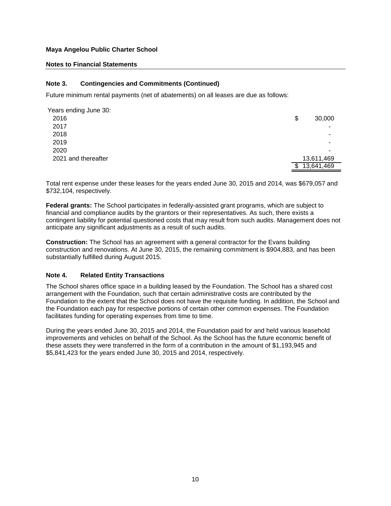#### **Notes to Financial Statements**

#### **Note 3. Contingencies and Commitments (Continued)**

Future minimum rental payments (net of abatements) on all leases are due as follows:

| Years ending June 30: |                  |
|-----------------------|------------------|
| 2016                  | \$<br>30,000     |
| 2017                  | ٠                |
| 2018                  | ۰                |
| 2019                  | ۰                |
| 2020                  | ۰                |
| 2021 and thereafter   | 13,611,469       |
|                       | 13,641,469<br>\$ |

Total rent expense under these leases for the years ended June 30, 2015 and 2014, was \$679,057 and \$732,104, respectively.

**Federal grants:** The School participates in federally-assisted grant programs, which are subject to financial and compliance audits by the grantors or their representatives. As such, there exists a contingent liability for potential questioned costs that may result from such audits. Management does not anticipate any significant adjustments as a result of such audits.

**Construction:** The School has an agreement with a general contractor for the Evans building construction and renovations. At June 30, 2015, the remaining commitment is \$904,883, and has been substantially fulfilled during August 2015.

#### **Note 4. Related Entity Transactions**

The School shares office space in a building leased by the Foundation. The School has a shared cost arrangement with the Foundation, such that certain administrative costs are contributed by the Foundation to the extent that the School does not have the requisite funding. In addition, the School and the Foundation each pay for respective portions of certain other common expenses. The Foundation facilitates funding for operating expenses from time to time.

During the years ended June 30, 2015 and 2014, the Foundation paid for and held various leasehold improvements and vehicles on behalf of the School. As the School has the future economic benefit of these assets they were transferred in the form of a contribution in the amount of \$1,193,945 and \$5,841,423 for the years ended June 30, 2015 and 2014, respectively.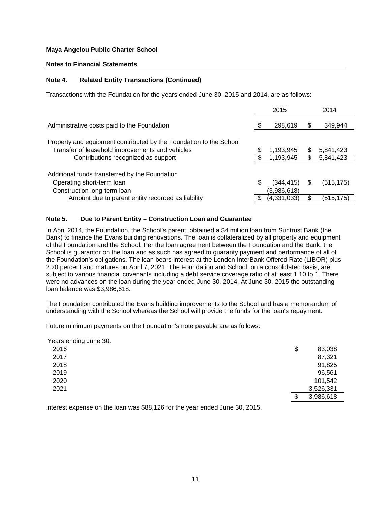#### **Notes to Financial Statements**

#### **Note 4. Related Entity Transactions (Continued)**

Transactions with the Foundation for the years ended June 30, 2015 and 2014, are as follows:

|                                                                                                                       |   | 2015                     |    | 2014       |
|-----------------------------------------------------------------------------------------------------------------------|---|--------------------------|----|------------|
| Administrative costs paid to the Foundation                                                                           |   | 298,619                  | \$ | 349,944    |
| Property and equipment contributed by the Foundation to the School<br>Transfer of leasehold improvements and vehicles |   | 1,193,945                |    | 5,841,423  |
| Contributions recognized as support                                                                                   |   | 1,193,945                | \$ | 5,841,423  |
| Additional funds transferred by the Foundation<br>Operating short-term loan<br>Construction long-term loan            | S | (344,415)<br>(3,986,618) | S  | (515, 175) |
| Amount due to parent entity recorded as liability                                                                     |   | (4,331,033)              |    | (515, 175) |

#### **Note 5. Due to Parent Entity – Construction Loan and Guarantee**

In April 2014, the Foundation, the School's parent, obtained a \$4 million loan from Suntrust Bank (the Bank) to finance the Evans building renovations. The loan is collateralized by all property and equipment of the Foundation and the School. Per the loan agreement between the Foundation and the Bank, the School is guarantor on the loan and as such has agreed to guaranty payment and performance of all of the Foundation's obligations. The loan bears interest at the London InterBank Offered Rate (LIBOR) plus 2.20 percent and matures on April 7, 2021. The Foundation and School, on a consolidated basis, are subject to various financial covenants including a debt service coverage ratio of at least 1.10 to 1. There were no advances on the loan during the year ended June 30, 2014. At June 30, 2015 the outstanding loan balance was \$3,986,618.

The Foundation contributed the Evans building improvements to the School and has a memorandum of understanding with the School whereas the School will provide the funds for the loan's repayment.

Future minimum payments on the Foundation's note payable are as follows:

| Years ending June 30: |              |  |
|-----------------------|--------------|--|
| 2016                  | \$<br>83,038 |  |
| 2017                  | 87,321       |  |
| 2018                  | 91,825       |  |
| 2019                  | 96,561       |  |
| 2020                  | 101,542      |  |
| 2021                  | 3,526,331    |  |
|                       | 3,986,618    |  |

Interest expense on the loan was \$88,126 for the year ended June 30, 2015.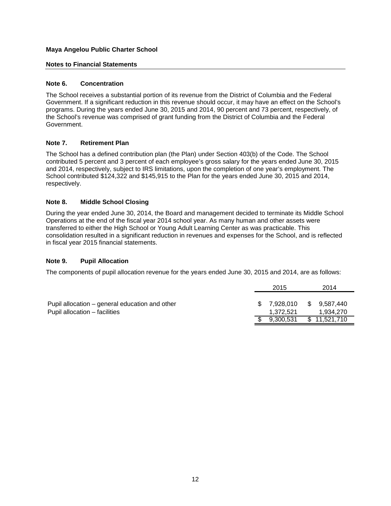#### **Notes to Financial Statements**

#### **Note 6. Concentration**

The School receives a substantial portion of its revenue from the District of Columbia and the Federal Government. If a significant reduction in this revenue should occur, it may have an effect on the School's programs. During the years ended June 30, 2015 and 2014, 90 percent and 73 percent, respectively, of the School's revenue was comprised of grant funding from the District of Columbia and the Federal Government.

#### **Note 7. Retirement Plan**

The School has a defined contribution plan (the Plan) under Section 403(b) of the Code. The School contributed 5 percent and 3 percent of each employee's gross salary for the years ended June 30, 2015 and 2014, respectively, subject to IRS limitations, upon the completion of one year's employment. The School contributed \$124,322 and \$145,915 to the Plan for the years ended June 30, 2015 and 2014, respectively.

#### **Note 8. Middle School Closing**

During the year ended June 30, 2014, the Board and management decided to terminate its Middle School Operations at the end of the fiscal year 2014 school year. As many human and other assets were transferred to either the High School or Young Adult Learning Center as was practicable. This consolidation resulted in a significant reduction in revenues and expenses for the School, and is reflected in fiscal year 2015 financial statements.

#### **Note 9. Pupil Allocation**

The components of pupil allocation revenue for the years ended June 30, 2015 and 2014, are as follows:

|                                                | 2015         | 2014         |
|------------------------------------------------|--------------|--------------|
| Pupil allocation – general education and other | \$7,928,010  | \$ 9.587.440 |
| Pupil allocation – facilities                  | 1.372.521    | 1.934.270    |
|                                                | \$ 9.300.531 | \$11,521,710 |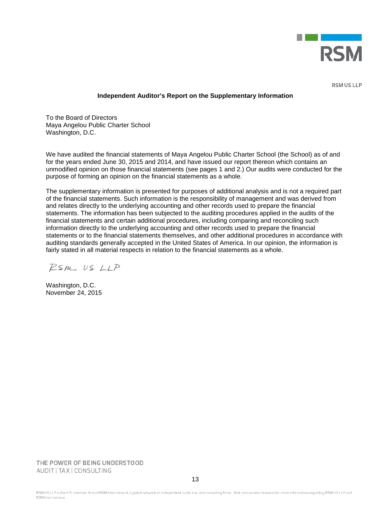

**RSM US LLP** 

#### **Independent Auditor's Report on the Supplementary Information**

To the Board of Directors Maya Angelou Public Charter School Washington, D.C.

We have audited the financial statements of Maya Angelou Public Charter School (the School) as of and for the years ended June 30, 2015 and 2014, and have issued our report thereon which contains an unmodified opinion on those financial statements (see pages 1 and 2.) Our audits were conducted for the purpose of forming an opinion on the financial statements as a whole.

The supplementary information is presented for purposes of additional analysis and is not a required part of the financial statements. Such information is the responsibility of management and was derived from and relates directly to the underlying accounting and other records used to prepare the financial statements. The information has been subjected to the auditing procedures applied in the audits of the financial statements and certain additional procedures, including comparing and reconciling such information directly to the underlying accounting and other records used to prepare the financial statements or to the financial statements themselves, and other additional procedures in accordance with auditing standards generally accepted in the United States of America. In our opinion, the information is fairly stated in all material respects in relation to the financial statements as a whole.

 $PSM, USLLP$ 

Washington, D.C. November 24, 2015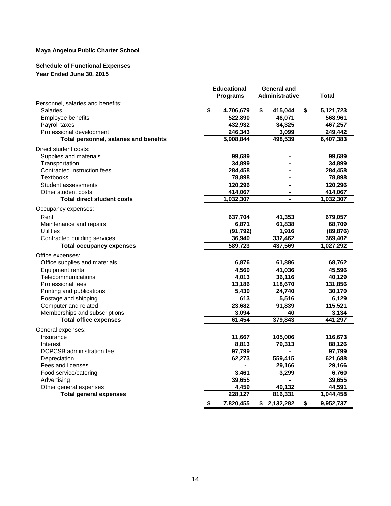#### **Schedule of Functional Expenses Year Ended June 30, 2015**

|                                        | <b>Educational</b> | <b>General and</b> |                 |
|----------------------------------------|--------------------|--------------------|-----------------|
|                                        | Programs           | Administrative     | Total           |
| Personnel, salaries and benefits:      |                    |                    |                 |
| <b>Salaries</b>                        | \$<br>4,706,679    | \$<br>415,044      | \$<br>5,121,723 |
| Employee benefits                      | 522,890            | 46,071             | 568,961         |
| Payroll taxes                          | 432,932            | 34,325             | 467,257         |
| Professional development               | 246,343            | 3,099              | 249,442         |
| Total personnel, salaries and benefits | 5,908,844          | 498,539            | 6,407,383       |
| Direct student costs:                  |                    |                    |                 |
| Supplies and materials                 | 99,689             |                    | 99,689          |
| Transportation                         | 34,899             |                    | 34,899          |
| Contracted instruction fees            | 284,458            |                    | 284,458         |
| <b>Textbooks</b>                       | 78,898             |                    | 78,898          |
| Student assessments                    | 120,296            |                    | 120,296         |
| Other student costs                    | 414,067            |                    | 414,067         |
| <b>Total direct student costs</b>      | 1,032,307          |                    | 1,032,307       |
| Occupancy expenses:                    |                    |                    |                 |
| Rent                                   | 637,704            | 41,353             | 679,057         |
| Maintenance and repairs                | 6,871              | 61,838             | 68,709          |
| <b>Utilities</b>                       | (91, 792)          | 1,916              | (89, 876)       |
| Contracted building services           | 36,940             | 332,462            | 369,402         |
| <b>Total occupancy expenses</b>        | 589,723            | 437,569            | 1,027,292       |
| Office expenses:                       |                    |                    |                 |
| Office supplies and materials          | 6,876              | 61,886             | 68,762          |
| Equipment rental                       | 4,560              | 41,036             | 45,596          |
| Telecommunications                     | 4,013              | 36,116             | 40,129          |
| <b>Professional fees</b>               | 13,186             | 118,670            | 131,856         |
| Printing and publications              | 5,430              | 24,740             | 30,170          |
| Postage and shipping                   | 613                | 5,516              | 6,129           |
| Computer and related                   | 23,682             | 91,839             | 115,521         |
| Memberships and subscriptions          | 3,094              | 40                 | 3,134           |
| <b>Total office expenses</b>           | 61,454             | 379,843            | 441,297         |
| General expenses:                      |                    |                    |                 |
| Insurance                              | 11,667             | 105,006            | 116,673         |
| Interest                               | 8,813              | 79,313             | 88,126          |
| <b>DCPCSB</b> administration fee       | 97,799             |                    | 97,799          |
| Depreciation                           | 62,273             | 559,415            | 621,688         |
| Fees and licenses                      |                    | 29,166             | 29,166          |
| Food service/catering                  | 3,461              | 3,299              | 6,760           |
| Advertising                            | 39,655             |                    | 39,655          |
| Other general expenses                 | 4,459              | 40,132             | 44,591          |
| <b>Total general expenses</b>          | 228,127            | 816,331            | 1,044,458       |
|                                        | \$<br>7,820,455    | \$<br>2,132,282    | \$<br>9,952,737 |